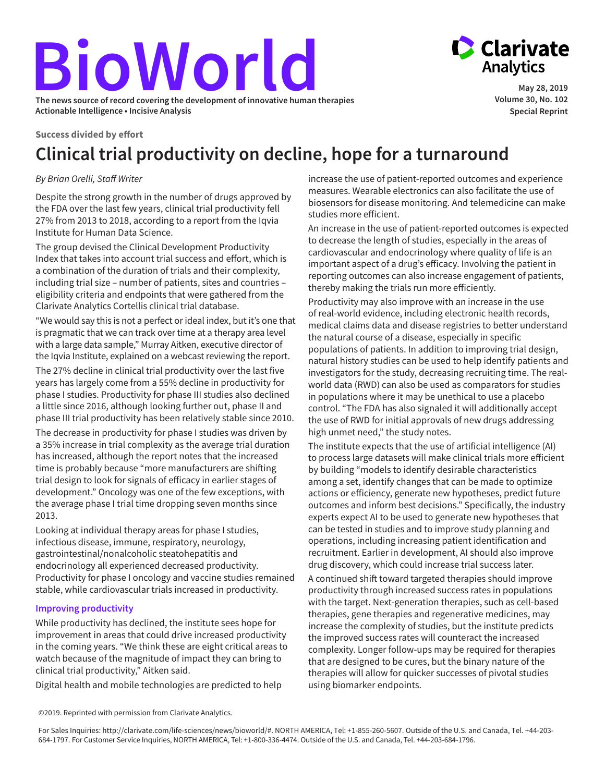# **BioWorld The news source of record covering the development of innovative human therapies**

**Actionable Intelligence • Incisive Analysis**

**Success divided by effort**

## **Clinical trial productivity on decline, hope for a turnaround**

### *By Brian Orelli, Staff Writer*

Despite the strong growth in the number of drugs approved by the FDA over the last few years, clinical trial productivity fell 27% from 2013 to 2018, according to a report from the Iqvia Institute for Human Data Science.

The group devised the Clinical Development Productivity Index that takes into account trial success and effort, which is a combination of the duration of trials and their complexity, including trial size – number of patients, sites and countries – eligibility criteria and endpoints that were gathered from the Clarivate Analytics Cortellis clinical trial database.

"We would say this is not a perfect or ideal index, but it's one that is pragmatic that we can track over time at a therapy area level with a large data sample," Murray Aitken, executive director of the Iqvia Institute, explained on a webcast reviewing the report. The 27% decline in clinical trial productivity over the last five years has largely come from a 55% decline in productivity for phase I studies. Productivity for phase III studies also declined a little since 2016, although looking further out, phase II and phase III trial productivity has been relatively stable since 2010.

The decrease in productivity for phase I studies was driven by a 35% increase in trial complexity as the average trial duration has increased, although the report notes that the increased time is probably because "more manufacturers are shifting trial design to look for signals of efficacy in earlier stages of development." Oncology was one of the few exceptions, with the average phase I trial time dropping seven months since 2013.

Looking at individual therapy areas for phase I studies, infectious disease, immune, respiratory, neurology, gastrointestinal/nonalcoholic steatohepatitis and endocrinology all experienced decreased productivity. Productivity for phase I oncology and vaccine studies remained stable, while cardiovascular trials increased in productivity.

#### **Improving productivity**

While productivity has declined, the institute sees hope for improvement in areas that could drive increased productivity in the coming years. "We think these are eight critical areas to watch because of the magnitude of impact they can bring to clinical trial productivity," Aitken said.

Digital health and mobile technologies are predicted to help

increase the use of patient-reported outcomes and experience measures. Wearable electronics can also facilitate the use of biosensors for disease monitoring. And telemedicine can make studies more efficient.

An increase in the use of patient-reported outcomes is expected to decrease the length of studies, especially in the areas of cardiovascular and endocrinology where quality of life is an important aspect of a drug's efficacy. Involving the patient in reporting outcomes can also increase engagement of patients, thereby making the trials run more efficiently.

Productivity may also improve with an increase in the use of real-world evidence, including electronic health records, medical claims data and disease registries to better understand the natural course of a disease, especially in specific populations of patients. In addition to improving trial design, natural history studies can be used to help identify patients and investigators for the study, decreasing recruiting time. The realworld data (RWD) can also be used as comparators for studies in populations where it may be unethical to use a placebo control. "The FDA has also signaled it will additionally accept the use of RWD for initial approvals of new drugs addressing high unmet need," the study notes.

The institute expects that the use of artificial intelligence (AI) to process large datasets will make clinical trials more efficient by building "models to identify desirable characteristics among a set, identify changes that can be made to optimize actions or efficiency, generate new hypotheses, predict future outcomes and inform best decisions." Specifically, the industry experts expect AI to be used to generate new hypotheses that can be tested in studies and to improve study planning and operations, including increasing patient identification and recruitment. Earlier in development, AI should also improve drug discovery, which could increase trial success later.

A continued shift toward targeted therapies should improve productivity through increased success rates in populations with the target. Next-generation therapies, such as cell-based therapies, gene therapies and regenerative medicines, may increase the complexity of studies, but the institute predicts the improved success rates will counteract the increased complexity. Longer follow-ups may be required for therapies that are designed to be cures, but the binary nature of the therapies will allow for quicker successes of pivotal studies using biomarker endpoints.

```
©2019. Reprinted with permission from Clarivate Analytics.
```


**May 28, 2019 Volume 30, No. 102 Special Reprint**

For Sales Inquiries: http://clarivate.com/life-sciences/news/bioworld/#. NORTH AMERICA, Tel: +1-855-260-5607. Outside of the U.S. and Canada, Tel. +44-203- 684-1797. For Customer Service Inquiries, NORTH AMERICA, Tel: +1-800-336-4474. Outside of the U.S. and Canada, Tel. +44-203-684-1796.